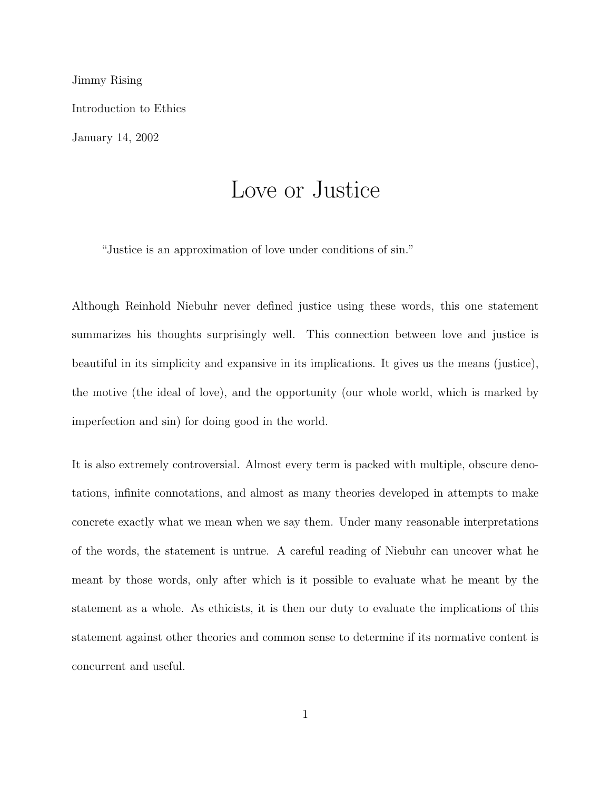Jimmy Rising Introduction to Ethics January 14, 2002

# Love or Justice

"Justice is an approximation of love under conditions of sin."

Although Reinhold Niebuhr never defined justice using these words, this one statement summarizes his thoughts surprisingly well. This connection between love and justice is beautiful in its simplicity and expansive in its implications. It gives us the means (justice), the motive (the ideal of love), and the opportunity (our whole world, which is marked by imperfection and sin) for doing good in the world.

It is also extremely controversial. Almost every term is packed with multiple, obscure denotations, infinite connotations, and almost as many theories developed in attempts to make concrete exactly what we mean when we say them. Under many reasonable interpretations of the words, the statement is untrue. A careful reading of Niebuhr can uncover what he meant by those words, only after which is it possible to evaluate what he meant by the statement as a whole. As ethicists, it is then our duty to evaluate the implications of this statement against other theories and common sense to determine if its normative content is concurrent and useful.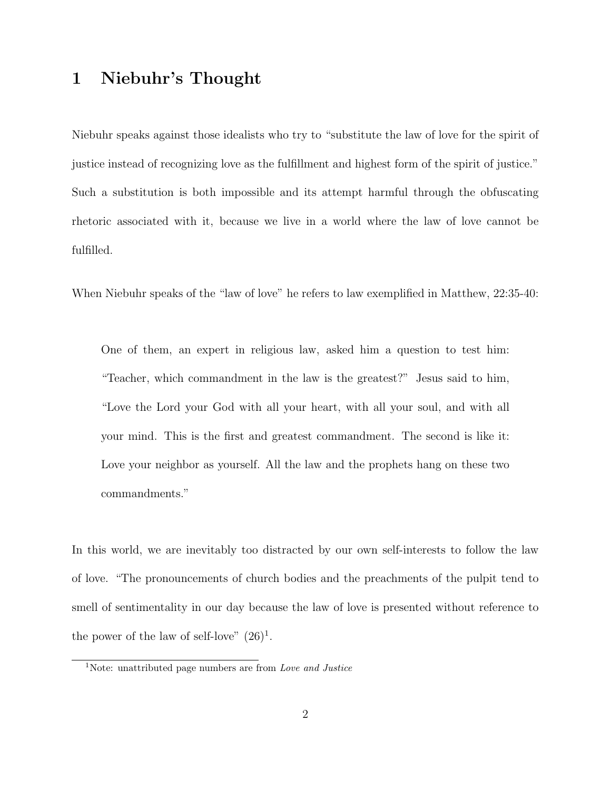# 1 Niebuhr's Thought

Niebuhr speaks against those idealists who try to "substitute the law of love for the spirit of justice instead of recognizing love as the fulfillment and highest form of the spirit of justice." Such a substitution is both impossible and its attempt harmful through the obfuscating rhetoric associated with it, because we live in a world where the law of love cannot be fulfilled.

When Niebuhr speaks of the "law of love" he refers to law exemplified in Matthew, 22:35-40:

One of them, an expert in religious law, asked him a question to test him: "Teacher, which commandment in the law is the greatest?" Jesus said to him, "Love the Lord your God with all your heart, with all your soul, and with all your mind. This is the first and greatest commandment. The second is like it: Love your neighbor as yourself. All the law and the prophets hang on these two commandments."

In this world, we are inevitably too distracted by our own self-interests to follow the law of love. "The pronouncements of church bodies and the preachments of the pulpit tend to smell of sentimentality in our day because the law of love is presented without reference to the power of the law of self-love"  $(26)^{1}$ .

<sup>&</sup>lt;sup>1</sup>Note: unattributed page numbers are from *Love and Justice*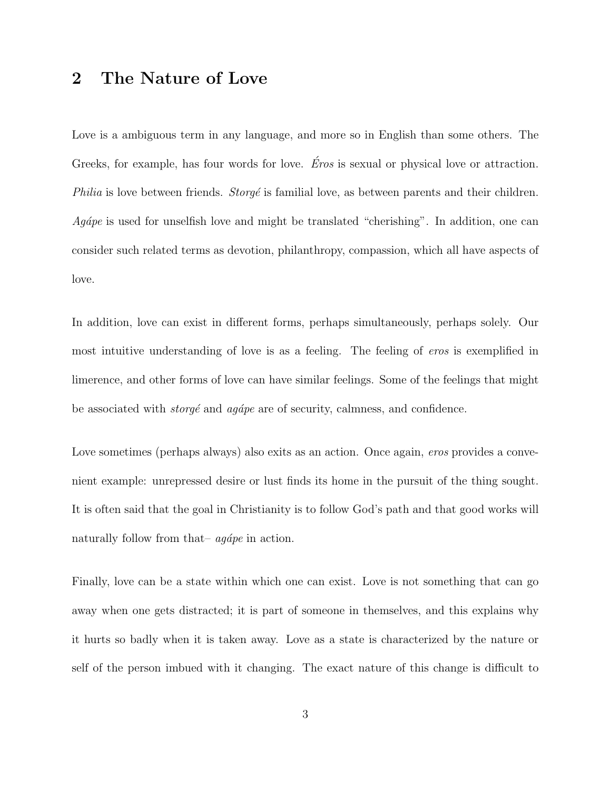# 2 The Nature of Love

Love is a ambiguous term in any language, and more so in English than some others. The Greeks, for example, has four words for love. *Éros* is sexual or physical love or attraction. Philia is love between friends.  $Strong\acute{e}$  is familial love, as between parents and their children.  $Agápe$  is used for unselfish love and might be translated "cherishing". In addition, one can consider such related terms as devotion, philanthropy, compassion, which all have aspects of love.

In addition, love can exist in different forms, perhaps simultaneously, perhaps solely. Our most intuitive understanding of love is as a feeling. The feeling of eros is exemplified in limerence, and other forms of love can have similar feelings. Some of the feelings that might be associated with  $\textit{stop\'e}$  and  $\textit{aq\'ape}$  are of security, calmness, and confidence.

Love sometimes (perhaps always) also exits as an action. Once again, *eros* provides a convenient example: unrepressed desire or lust finds its home in the pursuit of the thing sought. It is often said that the goal in Christianity is to follow God's path and that good works will naturally follow from that–  $aq\acute{a}pe$  in action.

Finally, love can be a state within which one can exist. Love is not something that can go away when one gets distracted; it is part of someone in themselves, and this explains why it hurts so badly when it is taken away. Love as a state is characterized by the nature or self of the person imbued with it changing. The exact nature of this change is difficult to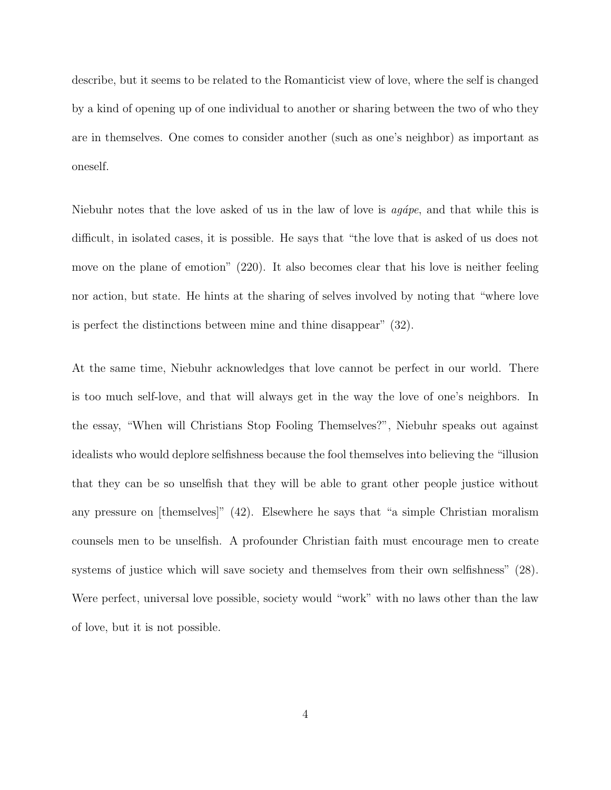describe, but it seems to be related to the Romanticist view of love, where the self is changed by a kind of opening up of one individual to another or sharing between the two of who they are in themselves. One comes to consider another (such as one's neighbor) as important as oneself.

Niebuhr notes that the love asked of us in the law of love is  $aq\acute{a}pe$ , and that while this is difficult, in isolated cases, it is possible. He says that "the love that is asked of us does not move on the plane of emotion" (220). It also becomes clear that his love is neither feeling nor action, but state. He hints at the sharing of selves involved by noting that "where love is perfect the distinctions between mine and thine disappear" (32).

At the same time, Niebuhr acknowledges that love cannot be perfect in our world. There is too much self-love, and that will always get in the way the love of one's neighbors. In the essay, "When will Christians Stop Fooling Themselves?", Niebuhr speaks out against idealists who would deplore selfishness because the fool themselves into believing the "illusion that they can be so unselfish that they will be able to grant other people justice without any pressure on [themselves]" (42). Elsewhere he says that "a simple Christian moralism counsels men to be unselfish. A profounder Christian faith must encourage men to create systems of justice which will save society and themselves from their own selfishness" (28). Were perfect, universal love possible, society would "work" with no laws other than the law of love, but it is not possible.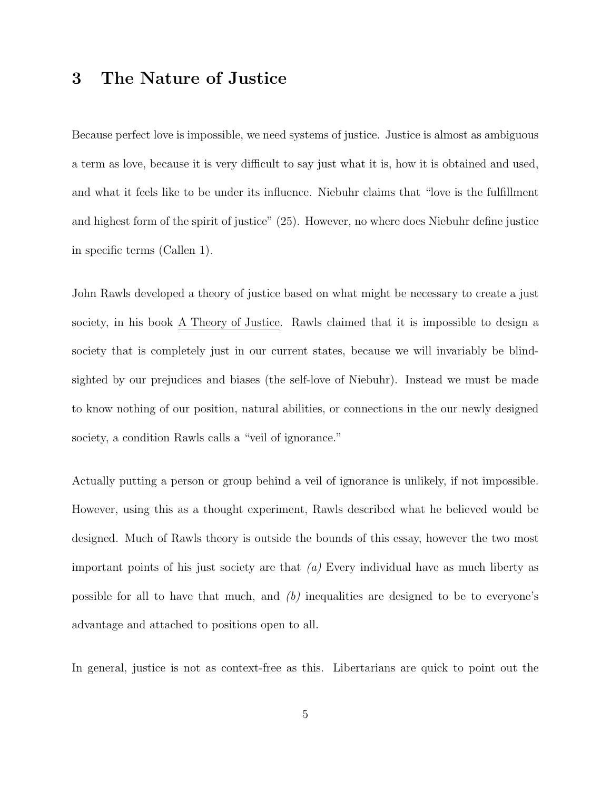# 3 The Nature of Justice

Because perfect love is impossible, we need systems of justice. Justice is almost as ambiguous a term as love, because it is very difficult to say just what it is, how it is obtained and used, and what it feels like to be under its influence. Niebuhr claims that "love is the fulfillment and highest form of the spirit of justice" (25). However, no where does Niebuhr define justice in specific terms (Callen 1).

John Rawls developed a theory of justice based on what might be necessary to create a just society, in his book A Theory of Justice. Rawls claimed that it is impossible to design a society that is completely just in our current states, because we will invariably be blindsighted by our prejudices and biases (the self-love of Niebuhr). Instead we must be made to know nothing of our position, natural abilities, or connections in the our newly designed society, a condition Rawls calls a "veil of ignorance."

Actually putting a person or group behind a veil of ignorance is unlikely, if not impossible. However, using this as a thought experiment, Rawls described what he believed would be designed. Much of Rawls theory is outside the bounds of this essay, however the two most important points of his just society are that  $(a)$  Every individual have as much liberty as possible for all to have that much, and  $(b)$  inequalities are designed to be to everyone's advantage and attached to positions open to all.

In general, justice is not as context-free as this. Libertarians are quick to point out the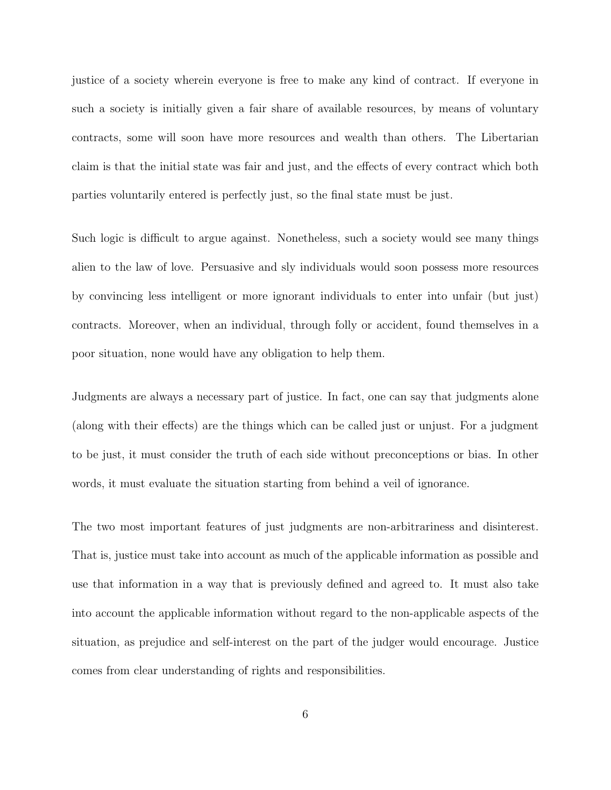justice of a society wherein everyone is free to make any kind of contract. If everyone in such a society is initially given a fair share of available resources, by means of voluntary contracts, some will soon have more resources and wealth than others. The Libertarian claim is that the initial state was fair and just, and the effects of every contract which both parties voluntarily entered is perfectly just, so the final state must be just.

Such logic is difficult to argue against. Nonetheless, such a society would see many things alien to the law of love. Persuasive and sly individuals would soon possess more resources by convincing less intelligent or more ignorant individuals to enter into unfair (but just) contracts. Moreover, when an individual, through folly or accident, found themselves in a poor situation, none would have any obligation to help them.

Judgments are always a necessary part of justice. In fact, one can say that judgments alone (along with their effects) are the things which can be called just or unjust. For a judgment to be just, it must consider the truth of each side without preconceptions or bias. In other words, it must evaluate the situation starting from behind a veil of ignorance.

The two most important features of just judgments are non-arbitrariness and disinterest. That is, justice must take into account as much of the applicable information as possible and use that information in a way that is previously defined and agreed to. It must also take into account the applicable information without regard to the non-applicable aspects of the situation, as prejudice and self-interest on the part of the judger would encourage. Justice comes from clear understanding of rights and responsibilities.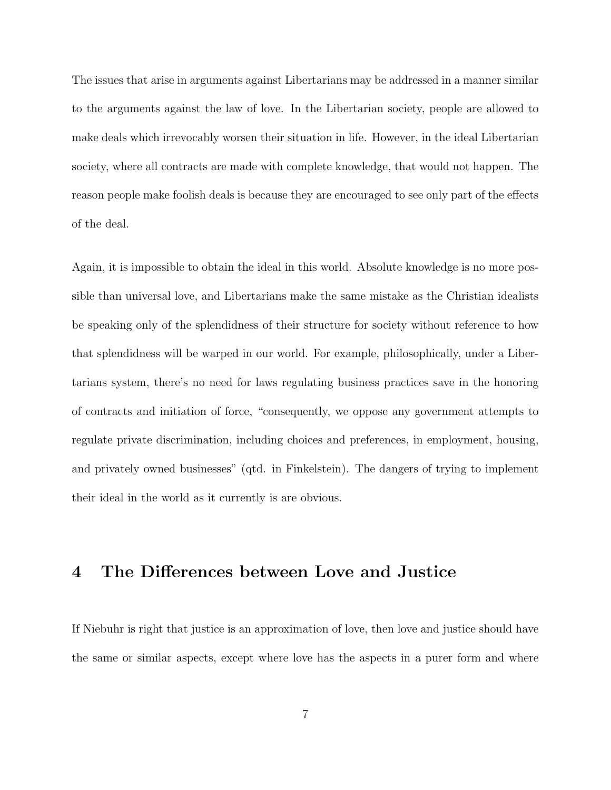The issues that arise in arguments against Libertarians may be addressed in a manner similar to the arguments against the law of love. In the Libertarian society, people are allowed to make deals which irrevocably worsen their situation in life. However, in the ideal Libertarian society, where all contracts are made with complete knowledge, that would not happen. The reason people make foolish deals is because they are encouraged to see only part of the effects of the deal.

Again, it is impossible to obtain the ideal in this world. Absolute knowledge is no more possible than universal love, and Libertarians make the same mistake as the Christian idealists be speaking only of the splendidness of their structure for society without reference to how that splendidness will be warped in our world. For example, philosophically, under a Libertarians system, there's no need for laws regulating business practices save in the honoring of contracts and initiation of force, "consequently, we oppose any government attempts to regulate private discrimination, including choices and preferences, in employment, housing, and privately owned businesses" (qtd. in Finkelstein). The dangers of trying to implement their ideal in the world as it currently is are obvious.

#### 4 The Differences between Love and Justice

If Niebuhr is right that justice is an approximation of love, then love and justice should have the same or similar aspects, except where love has the aspects in a purer form and where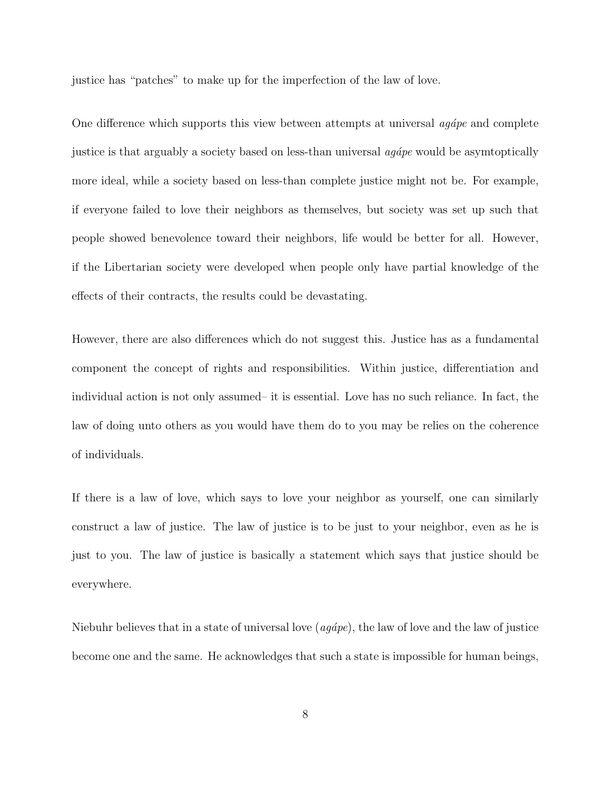justice has "patches" to make up for the imperfection of the law of love.

One difference which supports this view between attempts at universal  $\alpha$  and complete justice is that arguably a society based on less-than universal  $agápe$  would be asymtoptically more ideal, while a society based on less-than complete justice might not be. For example, if everyone failed to love their neighbors as themselves, but society was set up such that people showed benevolence toward their neighbors, life would be better for all. However, if the Libertarian society were developed when people only have partial knowledge of the effects of their contracts, the results could be devastating.

However, there are also differences which do not suggest this. Justice has as a fundamental component the concept of rights and responsibilities. Within justice, differentiation and individual action is not only assumed– it is essential. Love has no such reliance. In fact, the law of doing unto others as you would have them do to you may be relies on the coherence of individuals.

If there is a law of love, which says to love your neighbor as yourself, one can similarly construct a law of justice. The law of justice is to be just to your neighbor, even as he is just to you. The law of justice is basically a statement which says that justice should be everywhere.

Niebuhr believes that in a state of universal love  $(agápe)$ , the law of love and the law of justice become one and the same. He acknowledges that such a state is impossible for human beings,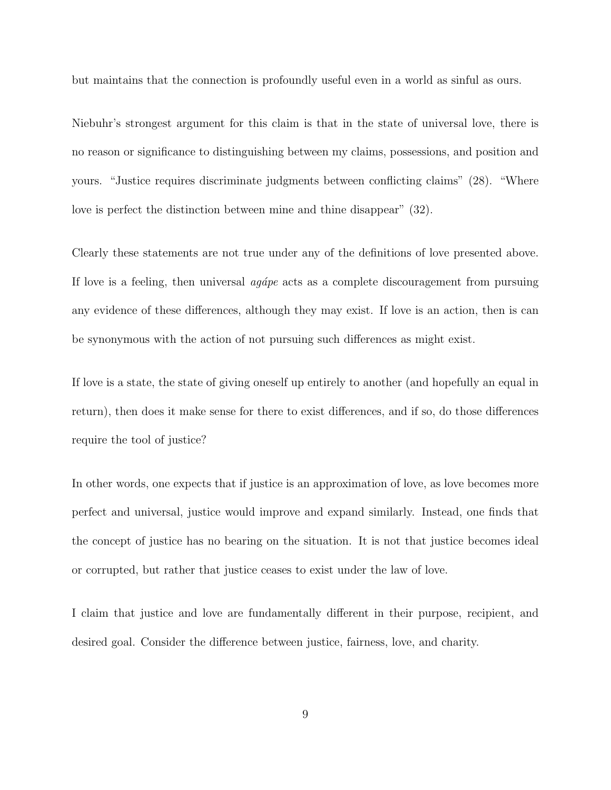but maintains that the connection is profoundly useful even in a world as sinful as ours.

Niebuhr's strongest argument for this claim is that in the state of universal love, there is no reason or significance to distinguishing between my claims, possessions, and position and yours. "Justice requires discriminate judgments between conflicting claims" (28). "Where love is perfect the distinction between mine and thine disappear" (32).

Clearly these statements are not true under any of the definitions of love presented above. If love is a feeling, then universal  $agápe$  acts as a complete discouragement from pursuing any evidence of these differences, although they may exist. If love is an action, then is can be synonymous with the action of not pursuing such differences as might exist.

If love is a state, the state of giving oneself up entirely to another (and hopefully an equal in return), then does it make sense for there to exist differences, and if so, do those differences require the tool of justice?

In other words, one expects that if justice is an approximation of love, as love becomes more perfect and universal, justice would improve and expand similarly. Instead, one finds that the concept of justice has no bearing on the situation. It is not that justice becomes ideal or corrupted, but rather that justice ceases to exist under the law of love.

I claim that justice and love are fundamentally different in their purpose, recipient, and desired goal. Consider the difference between justice, fairness, love, and charity.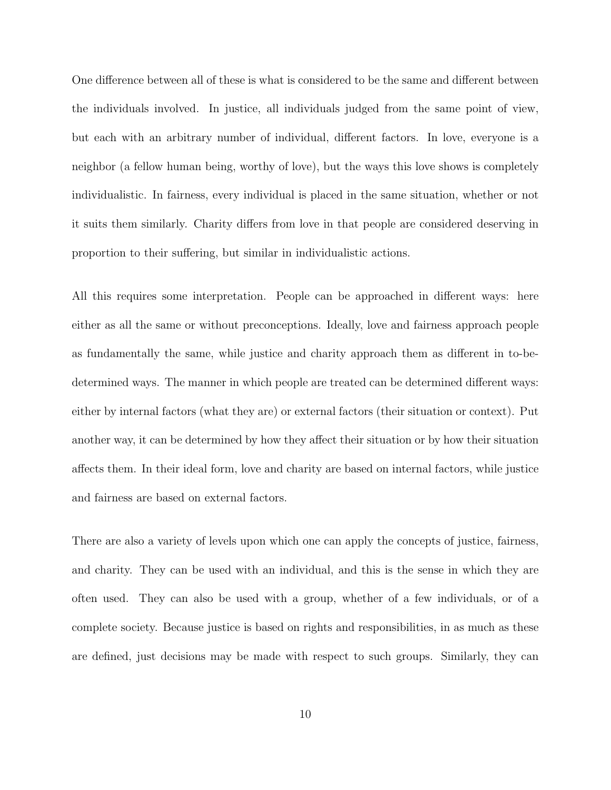One difference between all of these is what is considered to be the same and different between the individuals involved. In justice, all individuals judged from the same point of view, but each with an arbitrary number of individual, different factors. In love, everyone is a neighbor (a fellow human being, worthy of love), but the ways this love shows is completely individualistic. In fairness, every individual is placed in the same situation, whether or not it suits them similarly. Charity differs from love in that people are considered deserving in proportion to their suffering, but similar in individualistic actions.

All this requires some interpretation. People can be approached in different ways: here either as all the same or without preconceptions. Ideally, love and fairness approach people as fundamentally the same, while justice and charity approach them as different in to-bedetermined ways. The manner in which people are treated can be determined different ways: either by internal factors (what they are) or external factors (their situation or context). Put another way, it can be determined by how they affect their situation or by how their situation affects them. In their ideal form, love and charity are based on internal factors, while justice and fairness are based on external factors.

There are also a variety of levels upon which one can apply the concepts of justice, fairness, and charity. They can be used with an individual, and this is the sense in which they are often used. They can also be used with a group, whether of a few individuals, or of a complete society. Because justice is based on rights and responsibilities, in as much as these are defined, just decisions may be made with respect to such groups. Similarly, they can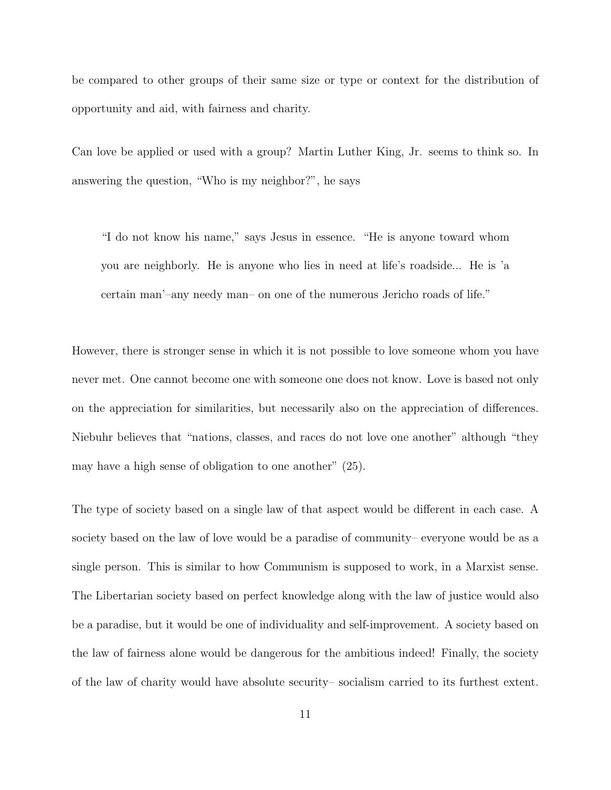be compared to other groups of their same size or type or context for the distribution of opportunity and aid, with fairness and charity.

Can love be applied or used with a group? Martin Luther King, Jr. seems to think so. In answering the question, "Who is my neighbor?", he says

"I do not know his name," says Jesus in essence. "He is anyone toward whom you are neighborly. He is anyone who lies in need at life's roadside... He is 'a certain man'–any needy man– on one of the numerous Jericho roads of life."

However, there is stronger sense in which it is not possible to love someone whom you have never met. One cannot become one with someone one does not know. Love is based not only on the appreciation for similarities, but necessarily also on the appreciation of differences. Niebuhr believes that "nations, classes, and races do not love one another" although "they may have a high sense of obligation to one another" (25).

The type of society based on a single law of that aspect would be different in each case. A society based on the law of love would be a paradise of community– everyone would be as a single person. This is similar to how Communism is supposed to work, in a Marxist sense. The Libertarian society based on perfect knowledge along with the law of justice would also be a paradise, but it would be one of individuality and self-improvement. A society based on the law of fairness alone would be dangerous for the ambitious indeed! Finally, the society of the law of charity would have absolute security– socialism carried to its furthest extent.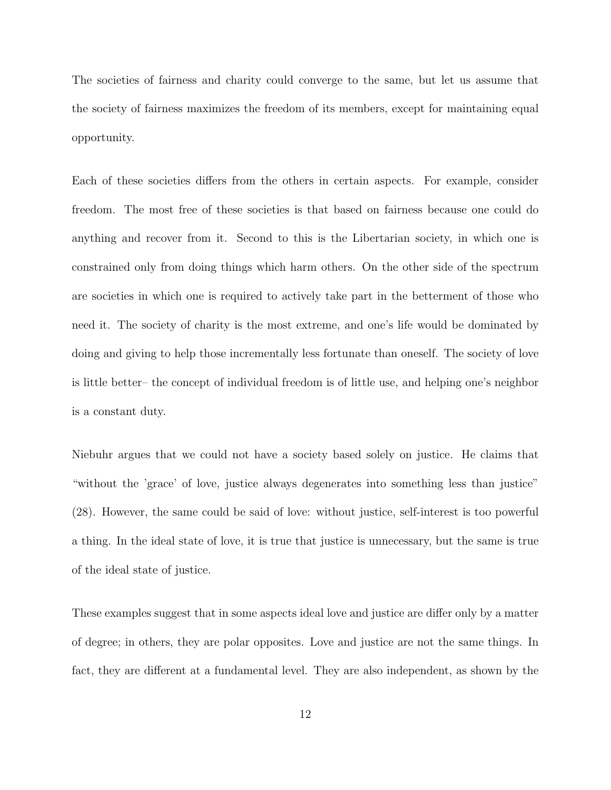The societies of fairness and charity could converge to the same, but let us assume that the society of fairness maximizes the freedom of its members, except for maintaining equal opportunity.

Each of these societies differs from the others in certain aspects. For example, consider freedom. The most free of these societies is that based on fairness because one could do anything and recover from it. Second to this is the Libertarian society, in which one is constrained only from doing things which harm others. On the other side of the spectrum are societies in which one is required to actively take part in the betterment of those who need it. The society of charity is the most extreme, and one's life would be dominated by doing and giving to help those incrementally less fortunate than oneself. The society of love is little better– the concept of individual freedom is of little use, and helping one's neighbor is a constant duty.

Niebuhr argues that we could not have a society based solely on justice. He claims that "without the 'grace' of love, justice always degenerates into something less than justice" (28). However, the same could be said of love: without justice, self-interest is too powerful a thing. In the ideal state of love, it is true that justice is unnecessary, but the same is true of the ideal state of justice.

These examples suggest that in some aspects ideal love and justice are differ only by a matter of degree; in others, they are polar opposites. Love and justice are not the same things. In fact, they are different at a fundamental level. They are also independent, as shown by the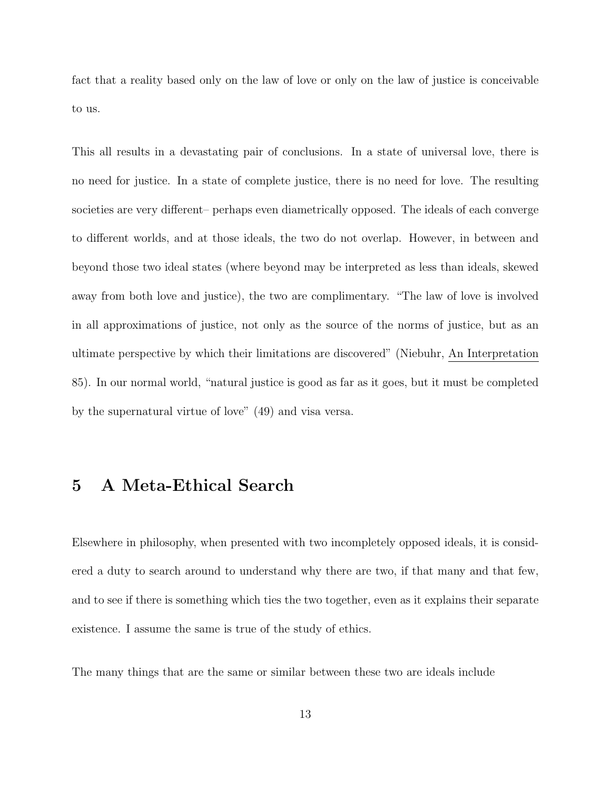fact that a reality based only on the law of love or only on the law of justice is conceivable to us.

This all results in a devastating pair of conclusions. In a state of universal love, there is no need for justice. In a state of complete justice, there is no need for love. The resulting societies are very different– perhaps even diametrically opposed. The ideals of each converge to different worlds, and at those ideals, the two do not overlap. However, in between and beyond those two ideal states (where beyond may be interpreted as less than ideals, skewed away from both love and justice), the two are complimentary. "The law of love is involved in all approximations of justice, not only as the source of the norms of justice, but as an ultimate perspective by which their limitations are discovered" (Niebuhr, An Interpretation 85). In our normal world, "natural justice is good as far as it goes, but it must be completed by the supernatural virtue of love" (49) and visa versa.

# 5 A Meta-Ethical Search

Elsewhere in philosophy, when presented with two incompletely opposed ideals, it is considered a duty to search around to understand why there are two, if that many and that few, and to see if there is something which ties the two together, even as it explains their separate existence. I assume the same is true of the study of ethics.

The many things that are the same or similar between these two are ideals include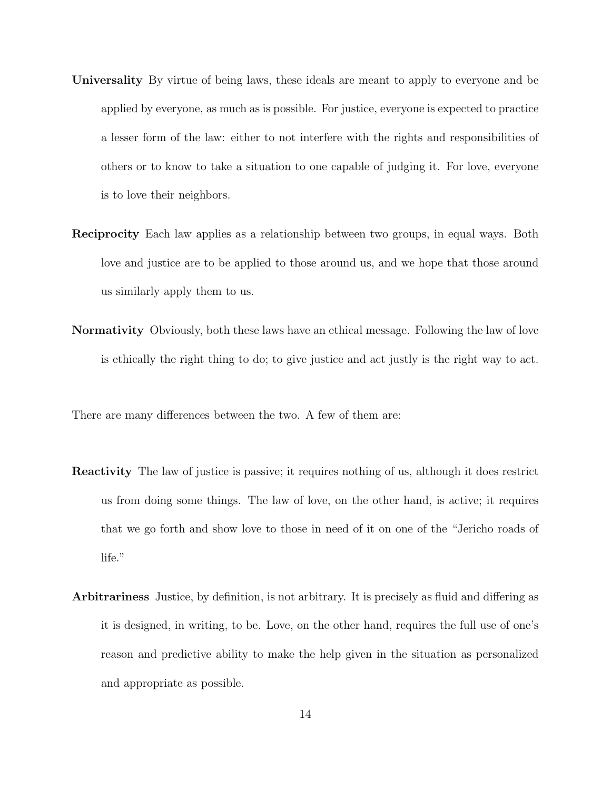- Universality By virtue of being laws, these ideals are meant to apply to everyone and be applied by everyone, as much as is possible. For justice, everyone is expected to practice a lesser form of the law: either to not interfere with the rights and responsibilities of others or to know to take a situation to one capable of judging it. For love, everyone is to love their neighbors.
- Reciprocity Each law applies as a relationship between two groups, in equal ways. Both love and justice are to be applied to those around us, and we hope that those around us similarly apply them to us.
- Normativity Obviously, both these laws have an ethical message. Following the law of love is ethically the right thing to do; to give justice and act justly is the right way to act.

There are many differences between the two. A few of them are:

- Reactivity The law of justice is passive; it requires nothing of us, although it does restrict us from doing some things. The law of love, on the other hand, is active; it requires that we go forth and show love to those in need of it on one of the "Jericho roads of life."
- Arbitrariness Justice, by definition, is not arbitrary. It is precisely as fluid and differing as it is designed, in writing, to be. Love, on the other hand, requires the full use of one's reason and predictive ability to make the help given in the situation as personalized and appropriate as possible.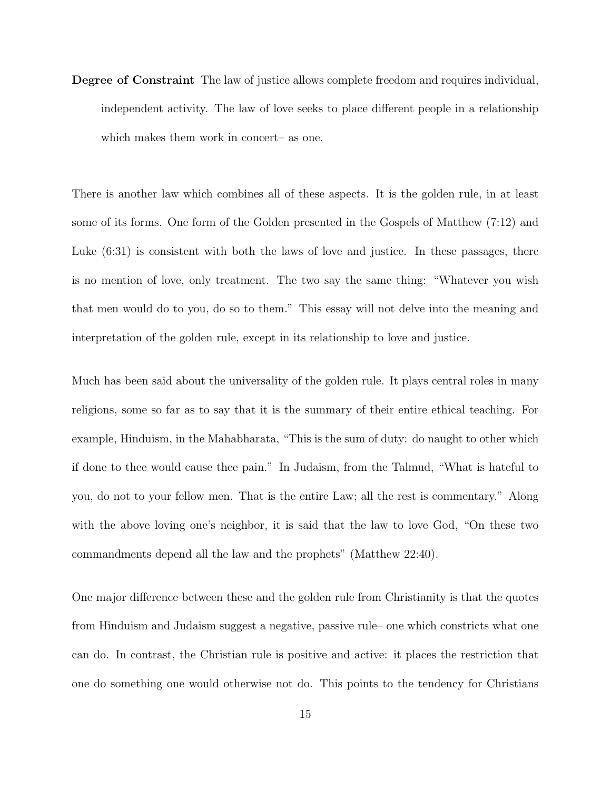Degree of Constraint The law of justice allows complete freedom and requires individual, independent activity. The law of love seeks to place different people in a relationship which makes them work in concert– as one.

There is another law which combines all of these aspects. It is the golden rule, in at least some of its forms. One form of the Golden presented in the Gospels of Matthew (7:12) and Luke  $(6:31)$  is consistent with both the laws of love and justice. In these passages, there is no mention of love, only treatment. The two say the same thing: "Whatever you wish that men would do to you, do so to them." This essay will not delve into the meaning and interpretation of the golden rule, except in its relationship to love and justice.

Much has been said about the universality of the golden rule. It plays central roles in many religions, some so far as to say that it is the summary of their entire ethical teaching. For example, Hinduism, in the Mahabharata, "This is the sum of duty: do naught to other which if done to thee would cause thee pain." In Judaism, from the Talmud, "What is hateful to you, do not to your fellow men. That is the entire Law; all the rest is commentary." Along with the above loving one's neighbor, it is said that the law to love God, "On these two commandments depend all the law and the prophets" (Matthew 22:40).

One major difference between these and the golden rule from Christianity is that the quotes from Hinduism and Judaism suggest a negative, passive rule– one which constricts what one can do. In contrast, the Christian rule is positive and active: it places the restriction that one do something one would otherwise not do. This points to the tendency for Christians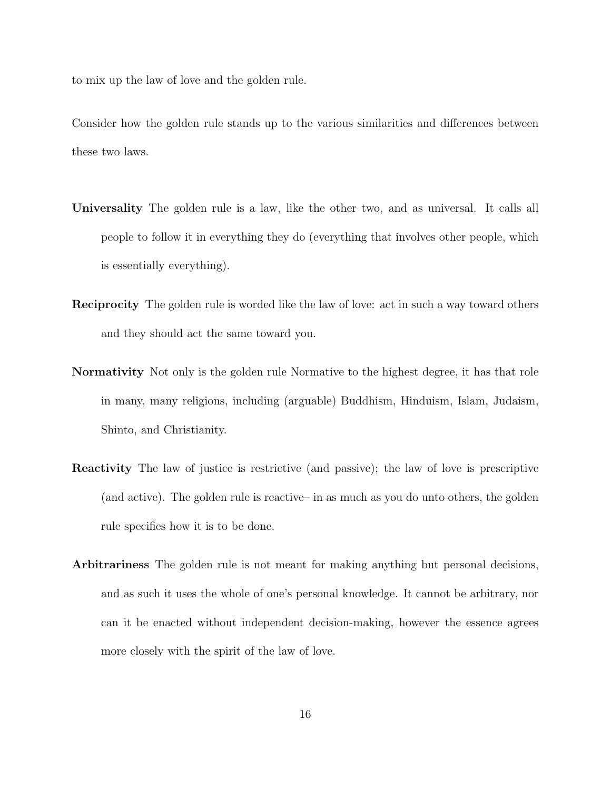to mix up the law of love and the golden rule.

Consider how the golden rule stands up to the various similarities and differences between these two laws.

- Universality The golden rule is a law, like the other two, and as universal. It calls all people to follow it in everything they do (everything that involves other people, which is essentially everything).
- Reciprocity The golden rule is worded like the law of love: act in such a way toward others and they should act the same toward you.
- Normativity Not only is the golden rule Normative to the highest degree, it has that role in many, many religions, including (arguable) Buddhism, Hinduism, Islam, Judaism, Shinto, and Christianity.
- Reactivity The law of justice is restrictive (and passive); the law of love is prescriptive (and active). The golden rule is reactive– in as much as you do unto others, the golden rule specifies how it is to be done.
- Arbitrariness The golden rule is not meant for making anything but personal decisions, and as such it uses the whole of one's personal knowledge. It cannot be arbitrary, nor can it be enacted without independent decision-making, however the essence agrees more closely with the spirit of the law of love.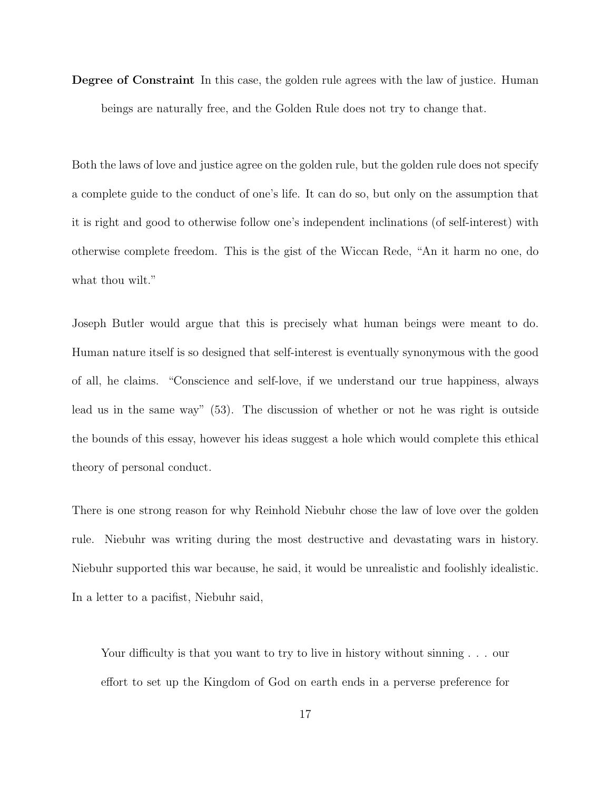Degree of Constraint In this case, the golden rule agrees with the law of justice. Human beings are naturally free, and the Golden Rule does not try to change that.

Both the laws of love and justice agree on the golden rule, but the golden rule does not specify a complete guide to the conduct of one's life. It can do so, but only on the assumption that it is right and good to otherwise follow one's independent inclinations (of self-interest) with otherwise complete freedom. This is the gist of the Wiccan Rede, "An it harm no one, do what thou wilt."

Joseph Butler would argue that this is precisely what human beings were meant to do. Human nature itself is so designed that self-interest is eventually synonymous with the good of all, he claims. "Conscience and self-love, if we understand our true happiness, always lead us in the same way" (53). The discussion of whether or not he was right is outside the bounds of this essay, however his ideas suggest a hole which would complete this ethical theory of personal conduct.

There is one strong reason for why Reinhold Niebuhr chose the law of love over the golden rule. Niebuhr was writing during the most destructive and devastating wars in history. Niebuhr supported this war because, he said, it would be unrealistic and foolishly idealistic. In a letter to a pacifist, Niebuhr said,

Your difficulty is that you want to try to live in history without sinning  $\ldots$  our effort to set up the Kingdom of God on earth ends in a perverse preference for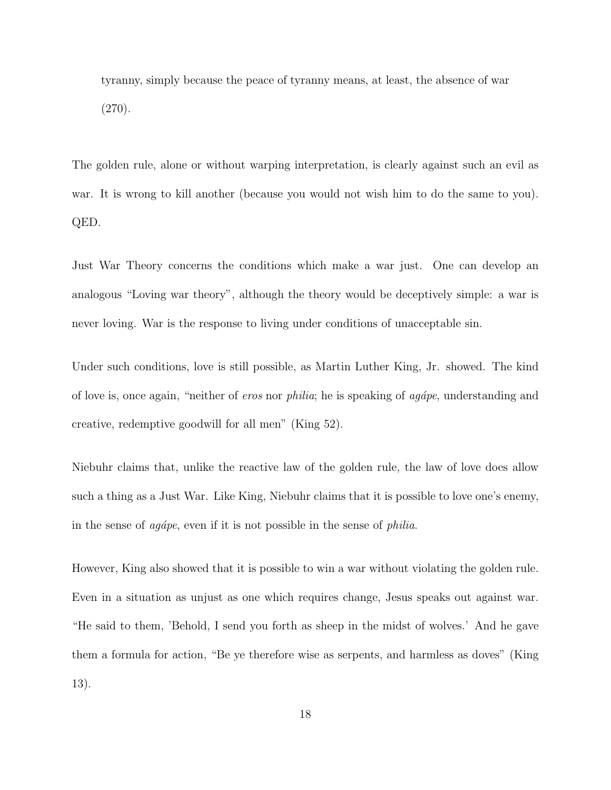tyranny, simply because the peace of tyranny means, at least, the absence of war (270).

The golden rule, alone or without warping interpretation, is clearly against such an evil as war. It is wrong to kill another (because you would not wish him to do the same to you). QED.

Just War Theory concerns the conditions which make a war just. One can develop an analogous "Loving war theory", although the theory would be deceptively simple: a war is never loving. War is the response to living under conditions of unacceptable sin.

Under such conditions, love is still possible, as Martin Luther King, Jr. showed. The kind of love is, once again, "neither of *eros* nor *philia*; he is speaking of *agápe*, understanding and creative, redemptive goodwill for all men" (King 52).

Niebuhr claims that, unlike the reactive law of the golden rule, the law of love does allow such a thing as a Just War. Like King, Niebuhr claims that it is possible to love one's enemy, in the sense of  $agápe$ , even if it is not possible in the sense of *philia*.

However, King also showed that it is possible to win a war without violating the golden rule. Even in a situation as unjust as one which requires change, Jesus speaks out against war. "He said to them, 'Behold, I send you forth as sheep in the midst of wolves.' And he gave them a formula for action, "Be ye therefore wise as serpents, and harmless as doves" (King 13).